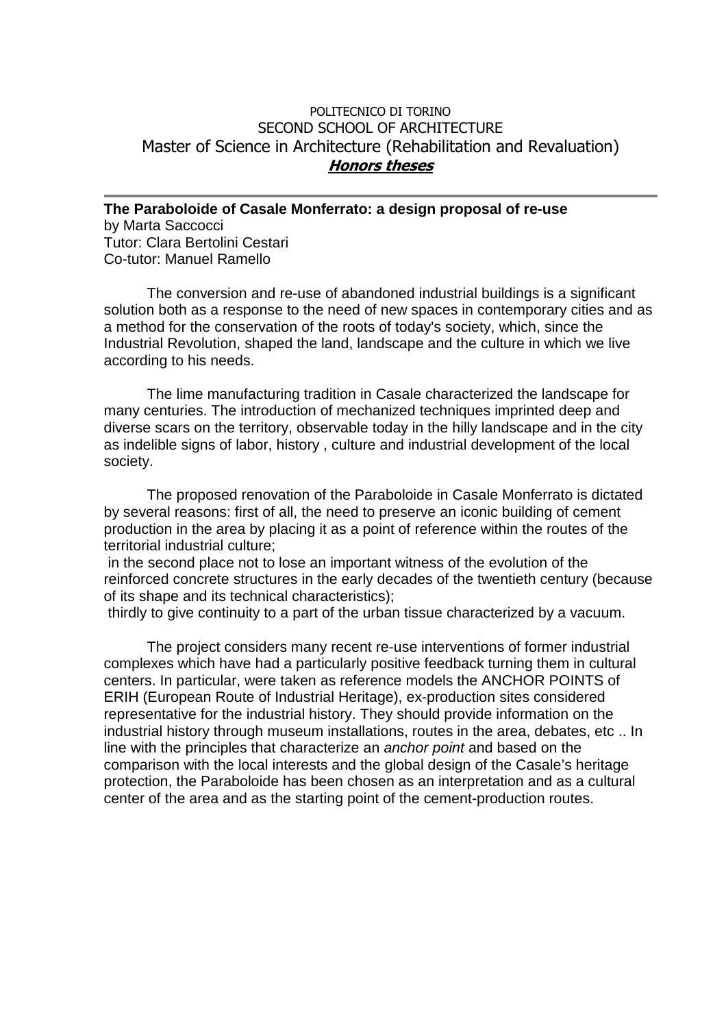## POLITECNICO DI TORINO SECOND SCHOOL OF ARCHITECTURE Master of Science in Architecture (Rehabilitation and Revaluation) **Honors theses**

**The Paraboloide of Casale Monferrato: a design proposal of re-use**  by Marta Saccocci Tutor: Clara Bertolini Cestari Co-tutor: Manuel Ramello

The conversion and re-use of abandoned industrial buildings is a significant solution both as a response to the need of new spaces in contemporary cities and as a method for the conservation of the roots of today's society, which, since the Industrial Revolution, shaped the land, landscape and the culture in which we live according to his needs.

The lime manufacturing tradition in Casale characterized the landscape for many centuries. The introduction of mechanized techniques imprinted deep and diverse scars on the territory, observable today in the hilly landscape and in the city as indelible signs of labor, history , culture and industrial development of the local society.

The proposed renovation of the Paraboloide in Casale Monferrato is dictated by several reasons: first of all, the need to preserve an iconic building of cement production in the area by placing it as a point of reference within the routes of the territorial industrial culture;

 in the second place not to lose an important witness of the evolution of the reinforced concrete structures in the early decades of the twentieth century (because of its shape and its technical characteristics);

thirdly to give continuity to a part of the urban tissue characterized by a vacuum.

The project considers many recent re-use interventions of former industrial complexes which have had a particularly positive feedback turning them in cultural centers. In particular, were taken as reference models the ANCHOR POINTS of ERIH (European Route of Industrial Heritage), ex-production sites considered representative for the industrial history. They should provide information on the industrial history through museum installations, routes in the area, debates, etc .. In line with the principles that characterize an anchor point and based on the comparison with the local interests and the global design of the Casale's heritage protection, the Paraboloide has been chosen as an interpretation and as a cultural center of the area and as the starting point of the cement-production routes.